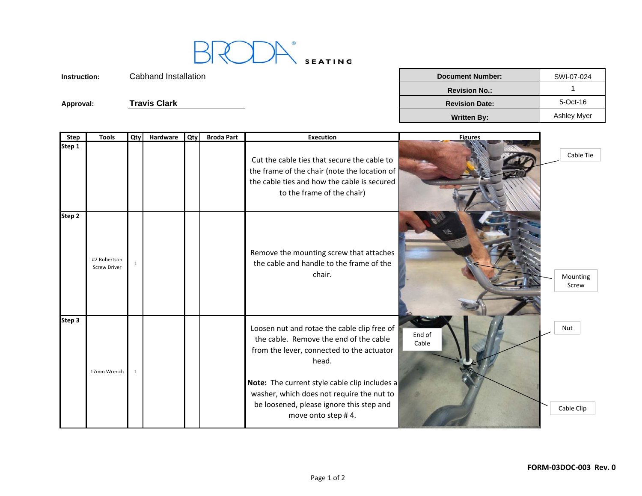

**Instruction:** Cabhand Installation**Approval:** Cabhand Installation<br> **Approval:** Travis Clark

| n | <b>Document Number:</b> | SWI-07-024  |
|---|-------------------------|-------------|
|   | <b>Revision No.:</b>    |             |
|   | <b>Revision Date:</b>   | 5-Oct-16    |
|   | <b>Written By:</b>      | Ashley Myer |

| <b>Step</b> | <b>Tools</b>                        | Qty | Hardware | Qty | <b>Broda Part</b> | <b>Execution</b>                                                                                                                                                                                                                                                                                            | <b>Figures</b>  |                   |
|-------------|-------------------------------------|-----|----------|-----|-------------------|-------------------------------------------------------------------------------------------------------------------------------------------------------------------------------------------------------------------------------------------------------------------------------------------------------------|-----------------|-------------------|
| Step 1      |                                     |     |          |     |                   | Cut the cable ties that secure the cable to<br>the frame of the chair (note the location of<br>the cable ties and how the cable is secured<br>to the frame of the chair)                                                                                                                                    |                 | Cable Tie         |
| Step 2      | #2 Robertson<br><b>Screw Driver</b> |     |          |     |                   | Remove the mounting screw that attaches<br>the cable and handle to the frame of the<br>chair.                                                                                                                                                                                                               |                 | Mounting<br>Screw |
| Step 3      | 17mm Wrench                         |     |          |     |                   | Loosen nut and rotae the cable clip free of<br>the cable. Remove the end of the cable<br>from the lever, connected to the actuator<br>head.<br>Note: The current style cable clip includes a<br>washer, which does not require the nut to<br>be loosened, please ignore this step and<br>move onto step #4. | End of<br>Cable | Nut<br>Cable Clip |